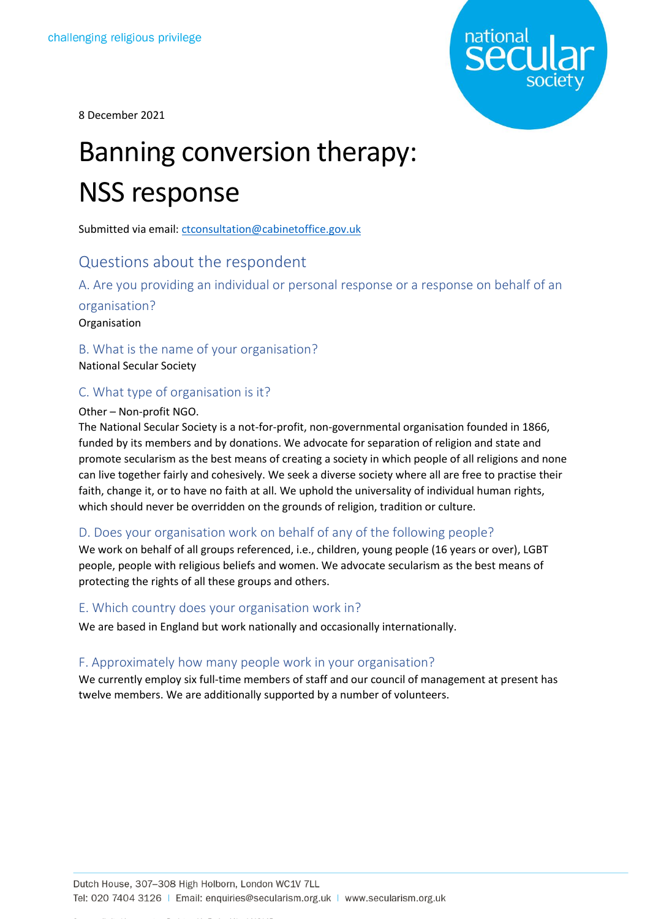

8 December 2021

# Banning conversion therapy: NSS response

Submitted via email: [ctconsultation@cabinetoffice.gov.uk](mailto:ctconsultation@cabinetoffice.gov.uk)

# Questions about the respondent

A. Are you providing an individual or personal response or a response on behalf of an

organisation?

Organisation

B. What is the name of your organisation?

National Secular Society

## C. What type of organisation is it?

#### Other – Non-profit NGO.

The National Secular Society is a not-for-profit, non-governmental organisation founded in 1866, funded by its members and by donations. We advocate for separation of religion and state and promote secularism as the best means of creating a society in which people of all religions and none can live together fairly and cohesively. We seek a diverse society where all are free to practise their faith, change it, or to have no faith at all. We uphold the universality of individual human rights, which should never be overridden on the grounds of religion, tradition or culture.

## D. Does your organisation work on behalf of any of the following people?

We work on behalf of all groups referenced, i.e., children, young people (16 years or over), LGBT people, people with religious beliefs and women. We advocate secularism as the best means of protecting the rights of all these groups and others.

## E. Which country does your organisation work in?

We are based in England but work nationally and occasionally internationally.

## F. Approximately how many people work in your organisation?

We currently employ six full-time members of staff and our council of management at present has twelve members. We are additionally supported by a number of volunteers.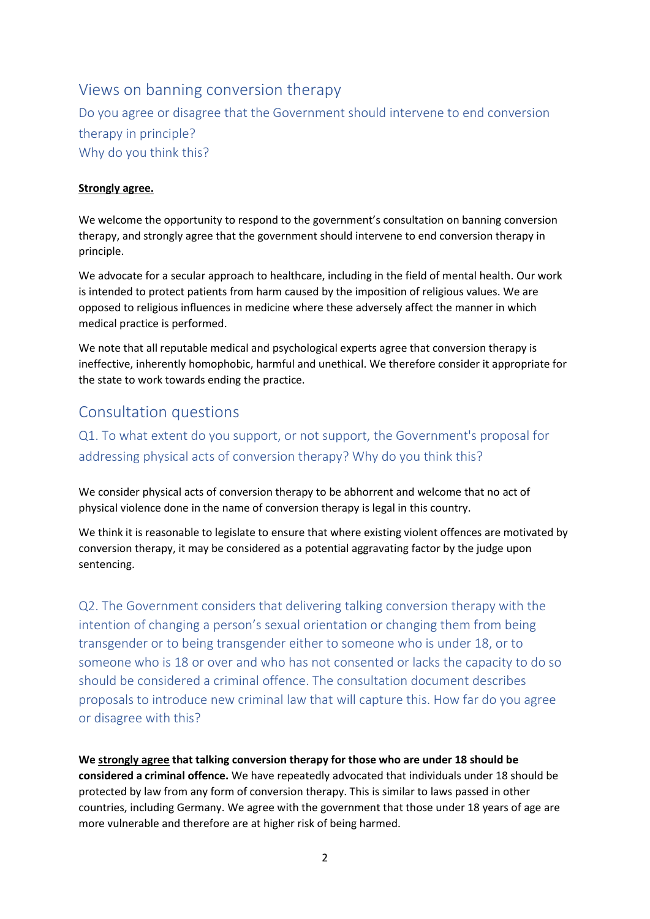# Views on banning conversion therapy Do you agree or disagree that the Government should intervene to end conversion therapy in principle? Why do you think this?

#### **Strongly agree.**

We welcome the opportunity to respond to the government's consultation on banning conversion therapy, and strongly agree that the government should intervene to end conversion therapy in principle.

We advocate for a secular approach to healthcare, including in the field of mental health. Our work is intended to protect patients from harm caused by the imposition of religious values. We are opposed to religious influences in medicine where these adversely affect the manner in which medical practice is performed.

We note that all reputable medical and psychological experts agree that conversion therapy is ineffective, inherently homophobic, harmful and unethical. We therefore consider it appropriate for the state to work towards ending the practice.

# Consultation questions

# Q1. To what extent do you support, or not support, the Government's proposal for addressing physical acts of conversion therapy? Why do you think this?

We consider physical acts of conversion therapy to be abhorrent and welcome that no act of physical violence done in the name of conversion therapy is legal in this country.

We think it is reasonable to legislate to ensure that where existing violent offences are motivated by conversion therapy, it may be considered as a potential aggravating factor by the judge upon sentencing.

Q2. The Government considers that delivering talking conversion therapy with the intention of changing a person's sexual orientation or changing them from being transgender or to being transgender either to someone who is under 18, or to someone who is 18 or over and who has not consented or lacks the capacity to do so should be considered a criminal offence. The consultation document describes proposals to introduce new criminal law that will capture this. How far do you agree or disagree with this?

**We strongly agree that talking conversion therapy for those who are under 18 should be considered a criminal offence.** We have repeatedly advocated that individuals under 18 should be protected by law from any form of conversion therapy. This is similar to laws passed in other countries, including Germany. We agree with the government that those under 18 years of age are more vulnerable and therefore are at higher risk of being harmed.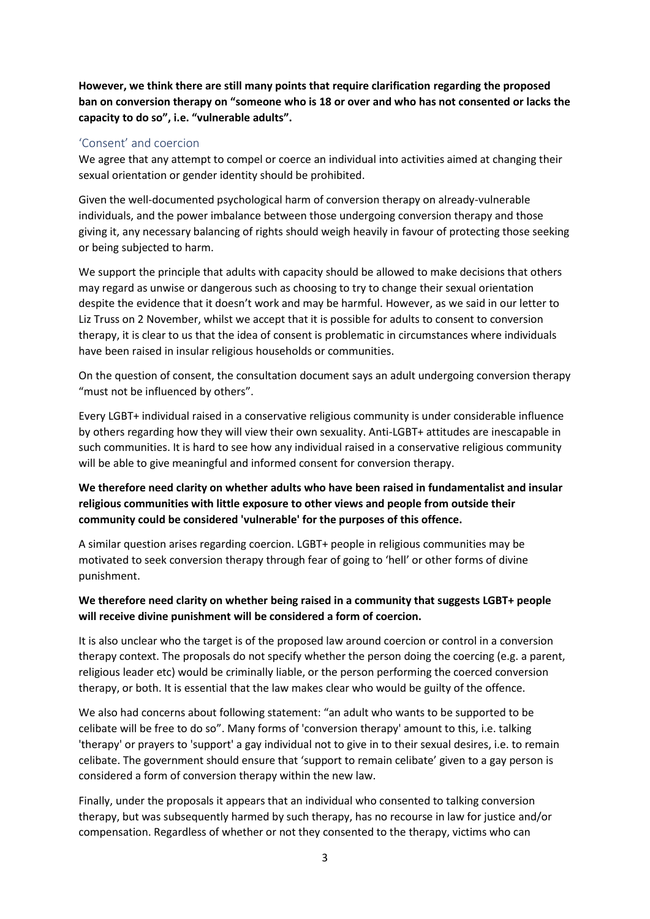**However, we think there are still many points that require clarification regarding the proposed ban on conversion therapy on "someone who is 18 or over and who has not consented or lacks the capacity to do so", i.e. "vulnerable adults".** 

#### 'Consent' and coercion

We agree that any attempt to compel or coerce an individual into activities aimed at changing their sexual orientation or gender identity should be prohibited.

Given the well-documented psychological harm of conversion therapy on already-vulnerable individuals, and the power imbalance between those undergoing conversion therapy and those giving it, any necessary balancing of rights should weigh heavily in favour of protecting those seeking or being subjected to harm.

We support the principle that adults with capacity should be allowed to make decisions that others may regard as unwise or dangerous such as choosing to try to change their sexual orientation despite the evidence that it doesn't work and may be harmful. However, as we said in our letter to Liz Truss on 2 November, whilst we accept that it is possible for adults to consent to conversion therapy, it is clear to us that the idea of consent is problematic in circumstances where individuals have been raised in insular religious households or communities.

On the question of consent, the consultation document says an adult undergoing conversion therapy "must not be influenced by others".

Every LGBT+ individual raised in a conservative religious community is under considerable influence by others regarding how they will view their own sexuality. Anti-LGBT+ attitudes are inescapable in such communities. It is hard to see how any individual raised in a conservative religious community will be able to give meaningful and informed consent for conversion therapy.

#### **We therefore need clarity on whether adults who have been raised in fundamentalist and insular religious communities with little exposure to other views and people from outside their community could be considered 'vulnerable' for the purposes of this offence.**

A similar question arises regarding coercion. LGBT+ people in religious communities may be motivated to seek conversion therapy through fear of going to 'hell' or other forms of divine punishment.

#### **We therefore need clarity on whether being raised in a community that suggests LGBT+ people will receive divine punishment will be considered a form of coercion.**

It is also unclear who the target is of the proposed law around coercion or control in a conversion therapy context. The proposals do not specify whether the person doing the coercing (e.g. a parent, religious leader etc) would be criminally liable, or the person performing the coerced conversion therapy, or both. It is essential that the law makes clear who would be guilty of the offence.

We also had concerns about following statement: "an adult who wants to be supported to be celibate will be free to do so". Many forms of 'conversion therapy' amount to this, i.e. talking 'therapy' or prayers to 'support' a gay individual not to give in to their sexual desires, i.e. to remain celibate. The government should ensure that 'support to remain celibate' given to a gay person is considered a form of conversion therapy within the new law.

Finally, under the proposals it appears that an individual who consented to talking conversion therapy, but was subsequently harmed by such therapy, has no recourse in law for justice and/or compensation. Regardless of whether or not they consented to the therapy, victims who can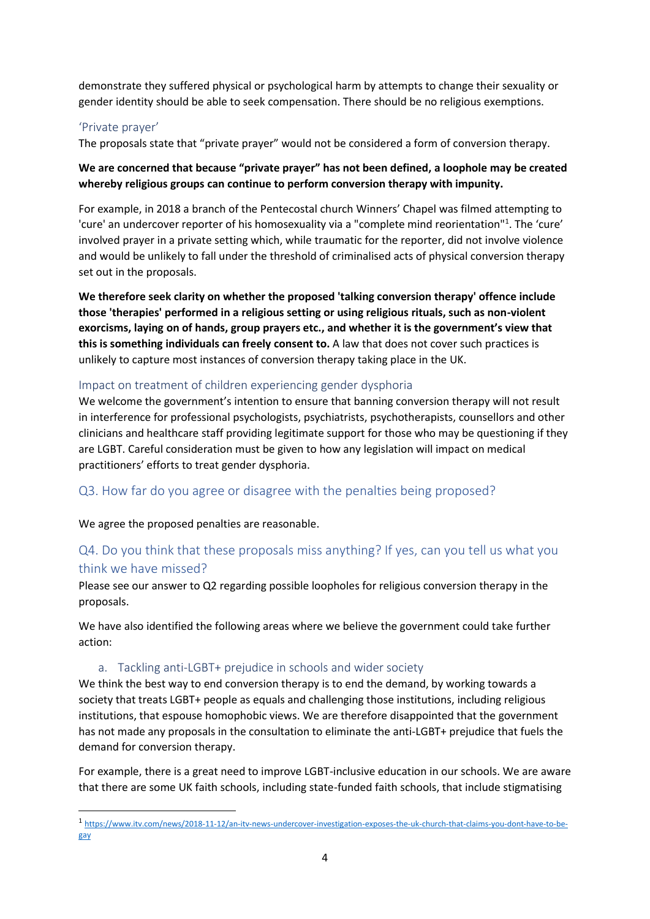demonstrate they suffered physical or psychological harm by attempts to change their sexuality or gender identity should be able to seek compensation. There should be no religious exemptions.

#### 'Private prayer'

The proposals state that "private prayer" would not be considered a form of conversion therapy.

## **We are concerned that because "private prayer" has not been defined, a loophole may be created whereby religious groups can continue to perform conversion therapy with impunity.**

For example, in 2018 a branch of the Pentecostal church Winners' Chapel was filmed attempting to 'cure' an undercover reporter of his homosexuality via a "complete mind reorientation"<sup>1</sup>. The 'cure' involved prayer in a private setting which, while traumatic for the reporter, did not involve violence and would be unlikely to fall under the threshold of criminalised acts of physical conversion therapy set out in the proposals.

**We therefore seek clarity on whether the proposed 'talking conversion therapy' offence include those 'therapies' performed in a religious setting or using religious rituals, such as non-violent exorcisms, laying on of hands, group prayers etc., and whether it is the government's view that this is something individuals can freely consent to.** A law that does not cover such practices is unlikely to capture most instances of conversion therapy taking place in the UK.

## Impact on treatment of children experiencing gender dysphoria

We welcome the government's intention to ensure that banning conversion therapy will not result in interference for professional psychologists, psychiatrists, psychotherapists, counsellors and other clinicians and healthcare staff providing legitimate support for those who may be questioning if they are LGBT. Careful consideration must be given to how any legislation will impact on medical practitioners' efforts to treat gender dysphoria.

## Q3. How far do you agree or disagree with the penalties being proposed?

We agree the proposed penalties are reasonable.

## Q4. Do you think that these proposals miss anything? If yes, can you tell us what you think we have missed?

Please see our answer to Q2 regarding possible loopholes for religious conversion therapy in the proposals.

We have also identified the following areas where we believe the government could take further action:

#### a. Tackling anti-LGBT+ prejudice in schools and wider society

We think the best way to end conversion therapy is to end the demand, by working towards a society that treats LGBT+ people as equals and challenging those institutions, including religious institutions, that espouse homophobic views. We are therefore disappointed that the government has not made any proposals in the consultation to eliminate the anti-LGBT+ prejudice that fuels the demand for conversion therapy.

For example, there is a great need to improve LGBT-inclusive education in our schools. We are aware that there are some UK faith schools, including state-funded faith schools, that include stigmatising

<sup>1</sup> [https://www.itv.com/news/2018-11-12/an-itv-news-undercover-investigation-exposes-the-uk-church-that-claims-you-dont-have-to-be](https://www.itv.com/news/2018-11-12/an-itv-news-undercover-investigation-exposes-the-uk-church-that-claims-you-dont-have-to-be-gay)[gay](https://www.itv.com/news/2018-11-12/an-itv-news-undercover-investigation-exposes-the-uk-church-that-claims-you-dont-have-to-be-gay)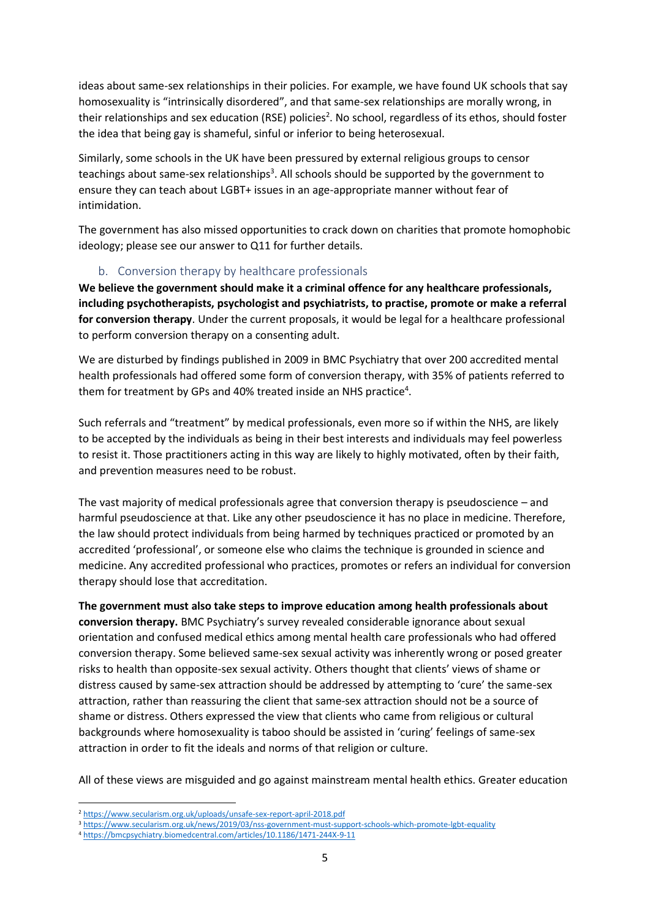ideas about same-sex relationships in their policies. For example, we have found UK schools that say homosexuality is "intrinsically disordered", and that same-sex relationships are morally wrong, in their relationships and sex education (RSE) policies<sup>2</sup>. No school, regardless of its ethos, should foster the idea that being gay is shameful, sinful or inferior to being heterosexual.

Similarly, some schools in the UK have been pressured by external religious groups to censor teachings about same-sex relationships<sup>3</sup>. All schools should be supported by the government to ensure they can teach about LGBT+ issues in an age-appropriate manner without fear of intimidation.

The government has also missed opportunities to crack down on charities that promote homophobic ideology; please see our answer to Q11 for further details.

#### b. Conversion therapy by healthcare professionals

**We believe the government should make it a criminal offence for any healthcare professionals, including psychotherapists, psychologist and psychiatrists, to practise, promote or make a referral for conversion therapy**. Under the current proposals, it would be legal for a healthcare professional to perform conversion therapy on a consenting adult.

We are disturbed by findings published in 2009 in BMC Psychiatry that over 200 accredited mental health professionals had offered some form of conversion therapy, with 35% of patients referred to them for treatment by GPs and 40% treated inside an NHS practice<sup>4</sup>.

Such referrals and "treatment" by medical professionals, even more so if within the NHS, are likely to be accepted by the individuals as being in their best interests and individuals may feel powerless to resist it. Those practitioners acting in this way are likely to highly motivated, often by their faith, and prevention measures need to be robust.

The vast majority of medical professionals agree that conversion therapy is pseudoscience – and harmful pseudoscience at that. Like any other pseudoscience it has no place in medicine. Therefore, the law should protect individuals from being harmed by techniques practiced or promoted by an accredited 'professional', or someone else who claims the technique is grounded in science and medicine. Any accredited professional who practices, promotes or refers an individual for conversion therapy should lose that accreditation.

**The government must also take steps to improve education among health professionals about conversion therapy.** BMC Psychiatry's survey revealed considerable ignorance about sexual orientation and confused medical ethics among mental health care professionals who had offered conversion therapy. Some believed same-sex sexual activity was inherently wrong or posed greater risks to health than opposite-sex sexual activity. Others thought that clients' views of shame or distress caused by same-sex attraction should be addressed by attempting to 'cure' the same-sex attraction, rather than reassuring the client that same-sex attraction should not be a source of shame or distress. Others expressed the view that clients who came from religious or cultural backgrounds where homosexuality is taboo should be assisted in 'curing' feelings of same-sex attraction in order to fit the ideals and norms of that religion or culture.

All of these views are misguided and go against mainstream mental health ethics. Greater education

<sup>2</sup> <https://www.secularism.org.uk/uploads/unsafe-sex-report-april-2018.pdf>

<sup>3</sup> <https://www.secularism.org.uk/news/2019/03/nss-government-must-support-schools-which-promote-lgbt-equality>

<sup>4</sup> <https://bmcpsychiatry.biomedcentral.com/articles/10.1186/1471-244X-9-11>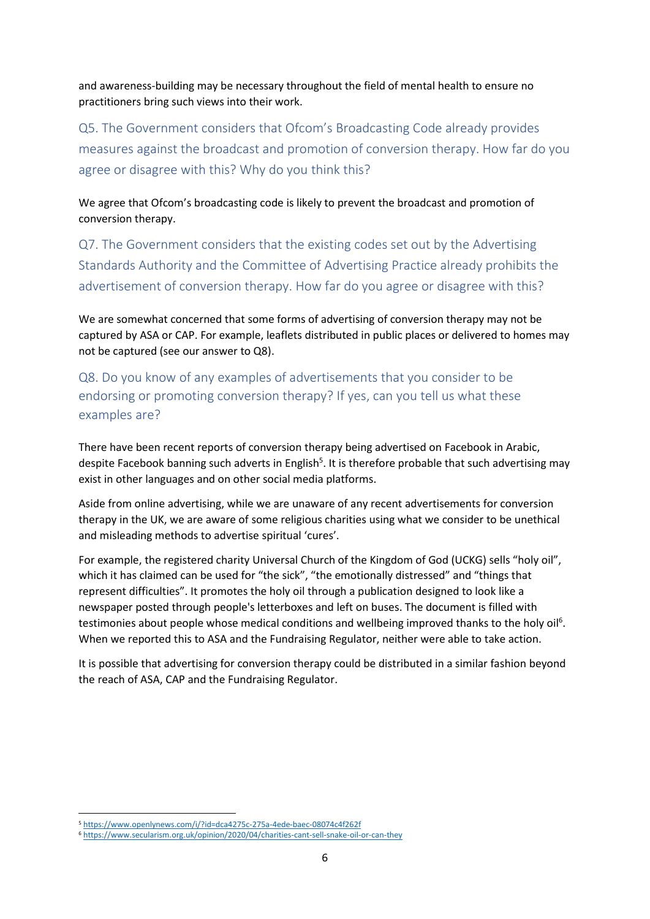and awareness-building may be necessary throughout the field of mental health to ensure no practitioners bring such views into their work.

Q5. The Government considers that Ofcom's Broadcasting Code already provides measures against the broadcast and promotion of conversion therapy. How far do you agree or disagree with this? Why do you think this?

We agree that Ofcom's broadcasting code is likely to prevent the broadcast and promotion of conversion therapy.

Q7. The Government considers that the existing codes set out by the Advertising Standards Authority and the Committee of Advertising Practice already prohibits the advertisement of conversion therapy. How far do you agree or disagree with this?

We are somewhat concerned that some forms of advertising of conversion therapy may not be captured by ASA or CAP. For example, leaflets distributed in public places or delivered to homes may not be captured (see our answer to Q8).

Q8. Do you know of any examples of advertisements that you consider to be endorsing or promoting conversion therapy? If yes, can you tell us what these examples are?

There have been recent reports of conversion therapy being advertised on Facebook in Arabic, despite Facebook banning such adverts in English<sup>5</sup>. It is therefore probable that such advertising may exist in other languages and on other social media platforms.

Aside from online advertising, while we are unaware of any recent advertisements for conversion therapy in the UK, we are aware of some religious charities using what we consider to be unethical and misleading methods to advertise spiritual 'cures'.

For example, the registered charity Universal Church of the Kingdom of God (UCKG) sells "holy oil", which it has claimed can be used for "the sick", "the emotionally distressed" and "things that represent difficulties". It promotes the holy oil through a publication designed to look like a newspaper posted through people's letterboxes and left on buses. The document is filled with testimonies about people whose medical conditions and wellbeing improved thanks to the holy oil<sup>6</sup>. When we reported this to ASA and the Fundraising Regulator, neither were able to take action.

It is possible that advertising for conversion therapy could be distributed in a similar fashion beyond the reach of ASA, CAP and the Fundraising Regulator.

<sup>5</sup> <https://www.openlynews.com/i/?id=dca4275c-275a-4ede-baec-08074c4f262f>

<sup>6</sup> <https://www.secularism.org.uk/opinion/2020/04/charities-cant-sell-snake-oil-or-can-they>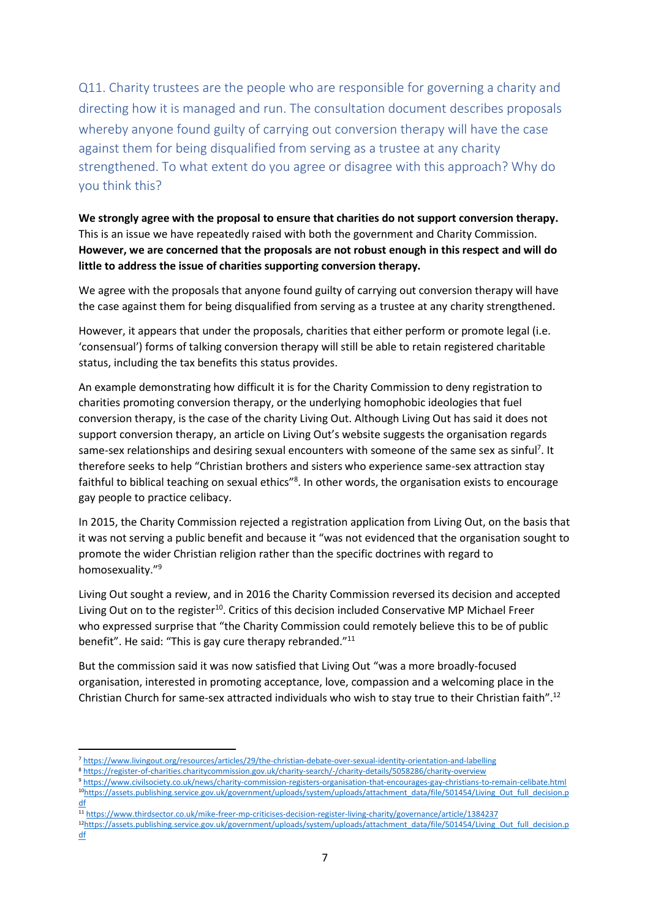Q11. Charity trustees are the people who are responsible for governing a charity and directing how it is managed and run. The consultation document describes proposals whereby anyone found guilty of carrying out conversion therapy will have the case against them for being disqualified from serving as a trustee at any charity strengthened. To what extent do you agree or disagree with this approach? Why do you think this?

**We strongly agree with the proposal to ensure that charities do not support conversion therapy.** This is an issue we have repeatedly raised with both the government and Charity Commission. **However, we are concerned that the proposals are not robust enough in this respect and will do little to address the issue of charities supporting conversion therapy.**

We agree with the proposals that anyone found guilty of carrying out conversion therapy will have the case against them for being disqualified from serving as a trustee at any charity strengthened.

However, it appears that under the proposals, charities that either perform or promote legal (i.e. 'consensual') forms of talking conversion therapy will still be able to retain registered charitable status, including the tax benefits this status provides.

An example demonstrating how difficult it is for the Charity Commission to deny registration to charities promoting conversion therapy, or the underlying homophobic ideologies that fuel conversion therapy, is the case of the charity Living Out. Although Living Out has said it does not support conversion therapy, an article on Living Out's website suggests the organisation regards same-sex relationships and desiring sexual encounters with someone of the same sex as sinful<sup>7</sup>. It therefore seeks to help "Christian brothers and sisters who experience same-sex attraction stay faithful to biblical teaching on sexual ethics"<sup>8</sup>. In other words, the organisation exists to encourage gay people to practice celibacy.

In 2015, the Charity Commission rejected a registration application from Living Out, on the basis that it was not serving a public benefit and because it "was not evidenced that the organisation sought to promote the wider Christian religion rather than the specific doctrines with regard to homosexuality."<sup>9</sup>

Living Out sought a review, and in 2016 the Charity Commission reversed its decision and accepted Living Out on to the register<sup>10</sup>. Critics of this decision included Conservative MP Michael Freer who expressed surprise that "the Charity Commission could remotely believe this to be of public benefit". He said: "This is gay cure therapy rebranded."<sup>11</sup>

But the commission said it was now satisfied that Living Out "was a more broadly-focused organisation, interested in promoting acceptance, love, compassion and a welcoming place in the Christian Church for same-sex attracted individuals who wish to stay true to their Christian faith". 12

<sup>7</sup> <https://www.livingout.org/resources/articles/29/the-christian-debate-over-sexual-identity-orientation-and-labelling>

<sup>8</sup> <https://register-of-charities.charitycommission.gov.uk/charity-search/-/charity-details/5058286/charity-overview>

<sup>9</sup> <https://www.civilsociety.co.uk/news/charity-commission-registers-organisation-that-encourages-gay-christians-to-remain-celibate.html> 10[https://assets.publishing.service.gov.uk/government/uploads/system/uploads/attachment\\_data/file/501454/Living\\_Out\\_full\\_decision.p](https://assets.publishing.service.gov.uk/government/uploads/system/uploads/attachment_data/file/501454/Living_Out_full_decision.pdf) [df](https://assets.publishing.service.gov.uk/government/uploads/system/uploads/attachment_data/file/501454/Living_Out_full_decision.pdf)

<sup>11</sup> <https://www.thirdsector.co.uk/mike-freer-mp-criticises-decision-register-living-charity/governance/article/1384237>

<sup>12</sup>[https://assets.publishing.service.gov.uk/government/uploads/system/uploads/attachment\\_data/file/501454/Living\\_Out\\_full\\_decision.p](https://assets.publishing.service.gov.uk/government/uploads/system/uploads/attachment_data/file/501454/Living_Out_full_decision.pdf) [df](https://assets.publishing.service.gov.uk/government/uploads/system/uploads/attachment_data/file/501454/Living_Out_full_decision.pdf)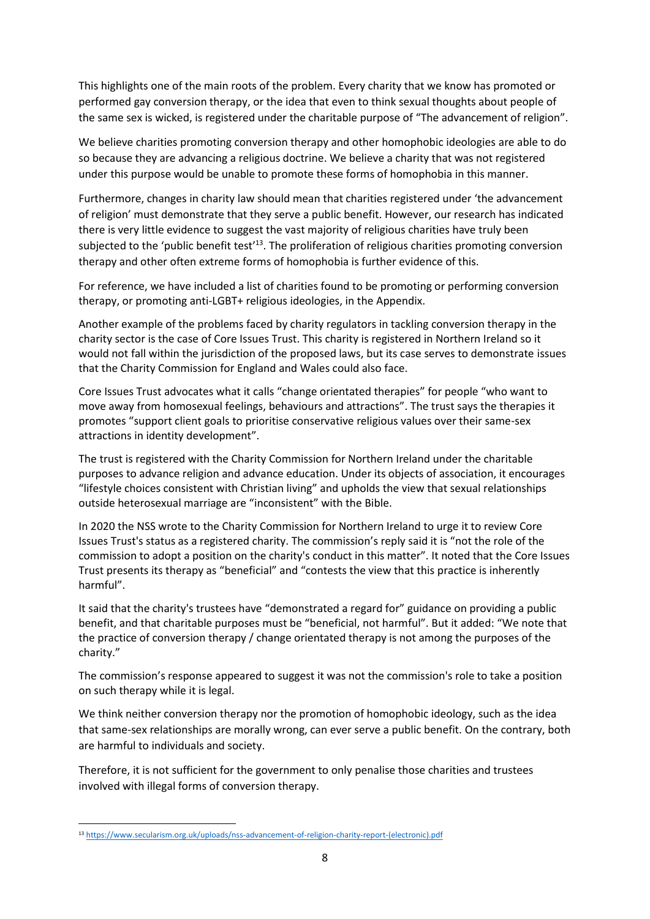This highlights one of the main roots of the problem. Every charity that we know has promoted or performed gay conversion therapy, or the idea that even to think sexual thoughts about people of the same sex is wicked, is registered under the charitable purpose of "The advancement of religion".

We believe charities promoting conversion therapy and other homophobic ideologies are able to do so because they are advancing a religious doctrine. We believe a charity that was not registered under this purpose would be unable to promote these forms of homophobia in this manner.

Furthermore, changes in charity law should mean that charities registered under 'the advancement of religion' must demonstrate that they serve a public benefit. However, our research has indicated there is very little evidence to suggest the vast majority of religious charities have truly been subjected to the 'public benefit test'<sup>13</sup>. The proliferation of religious charities promoting conversion therapy and other often extreme forms of homophobia is further evidence of this.

For reference, we have included a list of charities found to be promoting or performing conversion therapy, or promoting anti-LGBT+ religious ideologies, in the Appendix.

Another example of the problems faced by charity regulators in tackling conversion therapy in the charity sector is the case of Core Issues Trust. This charity is registered in Northern Ireland so it would not fall within the jurisdiction of the proposed laws, but its case serves to demonstrate issues that the Charity Commission for England and Wales could also face.

Core Issues Trust advocates what it calls "change orientated therapies" for people "who want to move away from homosexual feelings, behaviours and attractions". The trust says the therapies it promotes "support client goals to prioritise conservative religious values over their same-sex attractions in identity development".

The trust is registered with the Charity Commission for Northern Ireland under the charitable purposes to advance religion and advance education. Under its objects of association, it encourages "lifestyle choices consistent with Christian living" and upholds the view that sexual relationships outside heterosexual marriage are "inconsistent" with the Bible.

In 2020 the NSS wrote to the Charity Commission for Northern Ireland to urge it to review Core Issues Trust's status as a registered charity. The commission's reply said it is "not the role of the commission to adopt a position on the charity's conduct in this matter". It noted that the Core Issues Trust presents its therapy as "beneficial" and "contests the view that this practice is inherently harmful".

It said that the charity's trustees have "demonstrated a regard for" guidance on providing a public benefit, and that charitable purposes must be "beneficial, not harmful". But it added: "We note that the practice of conversion therapy / change orientated therapy is not among the purposes of the charity."

The commission's response appeared to suggest it was not the commission's role to take a position on such therapy while it is legal.

We think neither conversion therapy nor the promotion of homophobic ideology, such as the idea that same-sex relationships are morally wrong, can ever serve a public benefit. On the contrary, both are harmful to individuals and society.

Therefore, it is not sufficient for the government to only penalise those charities and trustees involved with illegal forms of conversion therapy.

<sup>13</sup> [https://www.secularism.org.uk/uploads/nss-advancement-of-religion-charity-report-\(electronic\).pdf](https://www.secularism.org.uk/uploads/nss-advancement-of-religion-charity-report-(electronic).pdf)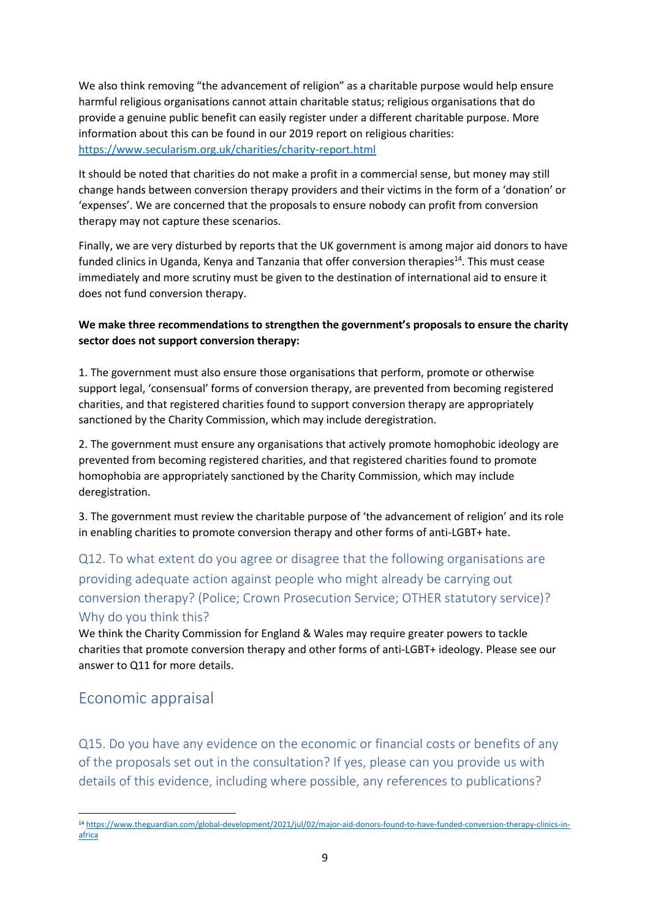We also think removing "the advancement of religion" as a charitable purpose would help ensure harmful religious organisations cannot attain charitable status; religious organisations that do provide a genuine public benefit can easily register under a different charitable purpose. More information about this can be found in our 2019 report on religious charities: <https://www.secularism.org.uk/charities/charity-report.html>

It should be noted that charities do not make a profit in a commercial sense, but money may still change hands between conversion therapy providers and their victims in the form of a 'donation' or 'expenses'. We are concerned that the proposals to ensure nobody can profit from conversion therapy may not capture these scenarios.

Finally, we are very disturbed by reports that the UK government is among major aid donors to have funded clinics in Uganda, Kenya and Tanzania that offer conversion therapies<sup>14</sup>. This must cease immediately and more scrutiny must be given to the destination of international aid to ensure it does not fund conversion therapy.

#### **We make three recommendations to strengthen the government's proposals to ensure the charity sector does not support conversion therapy:**

1. The government must also ensure those organisations that perform, promote or otherwise support legal, 'consensual' forms of conversion therapy, are prevented from becoming registered charities, and that registered charities found to support conversion therapy are appropriately sanctioned by the Charity Commission, which may include deregistration.

2. The government must ensure any organisations that actively promote homophobic ideology are prevented from becoming registered charities, and that registered charities found to promote homophobia are appropriately sanctioned by the Charity Commission, which may include deregistration.

3. The government must review the charitable purpose of 'the advancement of religion' and its role in enabling charities to promote conversion therapy and other forms of anti-LGBT+ hate.

Q12. To what extent do you agree or disagree that the following organisations are providing adequate action against people who might already be carrying out conversion therapy? (Police; Crown Prosecution Service; OTHER statutory service)? Why do you think this?

We think the Charity Commission for England & Wales may require greater powers to tackle charities that promote conversion therapy and other forms of anti-LGBT+ ideology. Please see our answer to Q11 for more details.

# Economic appraisal

Q15. Do you have any evidence on the economic or financial costs or benefits of any of the proposals set out in the consultation? If yes, please can you provide us with details of this evidence, including where possible, any references to publications?

<sup>14</sup> [https://www.theguardian.com/global-development/2021/jul/02/major-aid-donors-found-to-have-funded-conversion-therapy-clinics-in](https://www.theguardian.com/global-development/2021/jul/02/major-aid-donors-found-to-have-funded-conversion-therapy-clinics-in-africa)[africa](https://www.theguardian.com/global-development/2021/jul/02/major-aid-donors-found-to-have-funded-conversion-therapy-clinics-in-africa)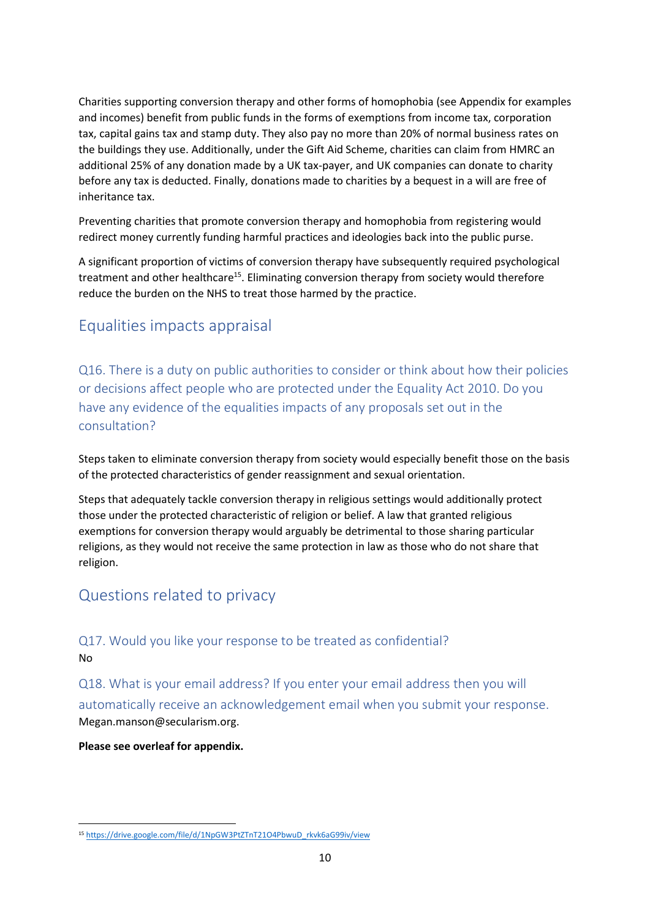Charities supporting conversion therapy and other forms of homophobia (see Appendix for examples and incomes) benefit from public funds in the forms of exemptions from income tax, corporation tax, capital gains tax and stamp duty. They also pay no more than 20% of normal business rates on the buildings they use. Additionally, under the Gift Aid Scheme, charities can claim from HMRC an additional 25% of any donation made by a UK tax-payer, and UK companies can donate to charity before any tax is deducted. Finally, donations made to charities by a bequest in a will are free of inheritance tax.

Preventing charities that promote conversion therapy and homophobia from registering would redirect money currently funding harmful practices and ideologies back into the public purse.

A significant proportion of victims of conversion therapy have subsequently required psychological treatment and other healthcare<sup>15</sup>. Eliminating conversion therapy from society would therefore reduce the burden on the NHS to treat those harmed by the practice.

# Equalities impacts appraisal

Q16. There is a duty on public authorities to consider or think about how their policies or decisions affect people who are protected under the Equality Act 2010. Do you have any evidence of the equalities impacts of any proposals set out in the consultation?

Steps taken to eliminate conversion therapy from society would especially benefit those on the basis of the protected characteristics of gender reassignment and sexual orientation.

Steps that adequately tackle conversion therapy in religious settings would additionally protect those under the protected characteristic of religion or belief. A law that granted religious exemptions for conversion therapy would arguably be detrimental to those sharing particular religions, as they would not receive the same protection in law as those who do not share that religion.

# Questions related to privacy

# Q17. Would you like your response to be treated as confidential? No

Q18. What is your email address? If you enter your email address then you will automatically receive an acknowledgement email when you submit your response. Megan.manson@secularism.org.

#### **Please see overleaf for appendix.**

<sup>15</sup> [https://drive.google.com/file/d/1NpGW3PtZTnT21O4PbwuD\\_rkvk6aG99iv/view](https://drive.google.com/file/d/1NpGW3PtZTnT21O4PbwuD_rkvk6aG99iv/view)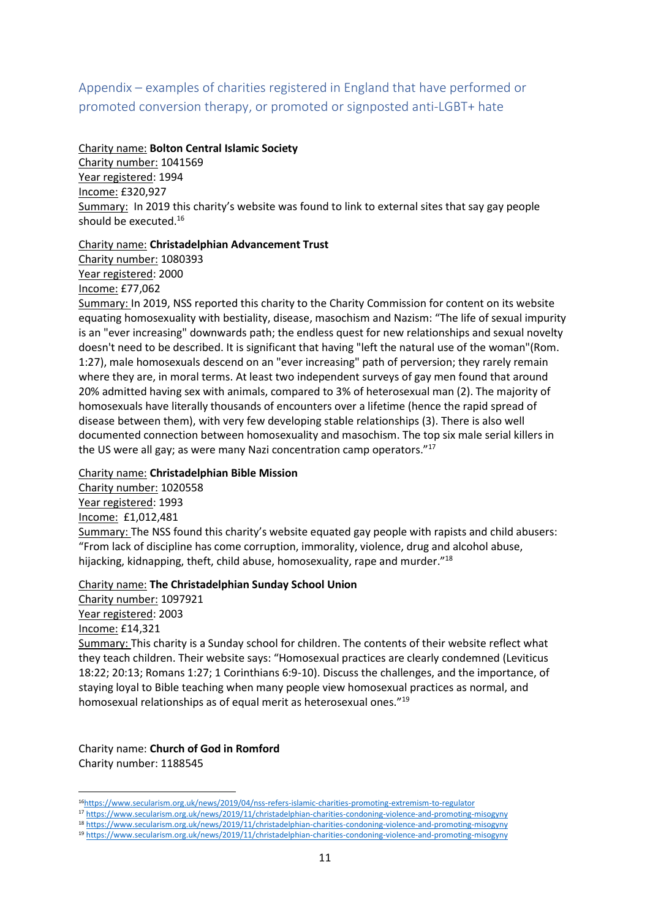## Appendix – examples of charities registered in England that have performed or promoted conversion therapy, or promoted or signposted anti-LGBT+ hate

#### Charity name: **Bolton Central Islamic Society**

Charity number: 1041569 Year registered: 1994 Income: £320,927 Summary: In 2019 this charity's website was found to link to external sites that say gay people should be executed. 16

Charity name: **Christadelphian Advancement Trust** Charity number: 1080393 Year registered: 2000 Income: £77,062

Summary: In 2019, NSS reported this charity to the Charity Commission for content on its website equating homosexuality with bestiality, disease, masochism and Nazism: "The life of sexual impurity is an "ever increasing" downwards path; the endless quest for new relationships and sexual novelty doesn't need to be described. It is significant that having "left the natural use of the woman"(Rom. 1:27), male homosexuals descend on an "ever increasing" path of perversion; they rarely remain where they are, in moral terms. At least two independent surveys of gay men found that around 20% admitted having sex with animals, compared to 3% of heterosexual man (2). The majority of homosexuals have literally thousands of encounters over a lifetime (hence the rapid spread of disease between them), with very few developing stable relationships (3). There is also well documented connection between homosexuality and masochism. The top six male serial killers in the US were all gay; as were many Nazi concentration camp operators."<sup>17</sup>

#### Charity name: **Christadelphian Bible Mission**

Charity number: 1020558 Year registered: 1993 Income: £1,012,481 Summary: The NSS found this charity's website equated gay people with rapists and child abusers: "From lack of discipline has come corruption, immorality, violence, drug and alcohol abuse, hijacking, kidnapping, theft, child abuse, homosexuality, rape and murder."<sup>18</sup>

#### Charity name: **The Christadelphian Sunday School Union**

Charity number: 1097921 Year registered: 2003 Income: £14,321

Summary: This charity is a Sunday school for children. The contents of their website reflect what they teach children. Their website says: "Homosexual practices are clearly condemned (Leviticus 18:22; 20:13; Romans 1:27; 1 Corinthians 6:9-10). Discuss the challenges, and the importance, of staying loyal to Bible teaching when many people view homosexual practices as normal, and homosexual relationships as of equal merit as heterosexual ones."<sup>19</sup>

Charity name: **Church of God in Romford** Charity number: 1188545

<sup>16</sup><https://www.secularism.org.uk/news/2019/04/nss-refers-islamic-charities-promoting-extremism-to-regulator>

<sup>17</sup> <https://www.secularism.org.uk/news/2019/11/christadelphian-charities-condoning-violence-and-promoting-misogyny>

<sup>18</sup> <https://www.secularism.org.uk/news/2019/11/christadelphian-charities-condoning-violence-and-promoting-misogyny>

<sup>19</sup> <https://www.secularism.org.uk/news/2019/11/christadelphian-charities-condoning-violence-and-promoting-misogyny>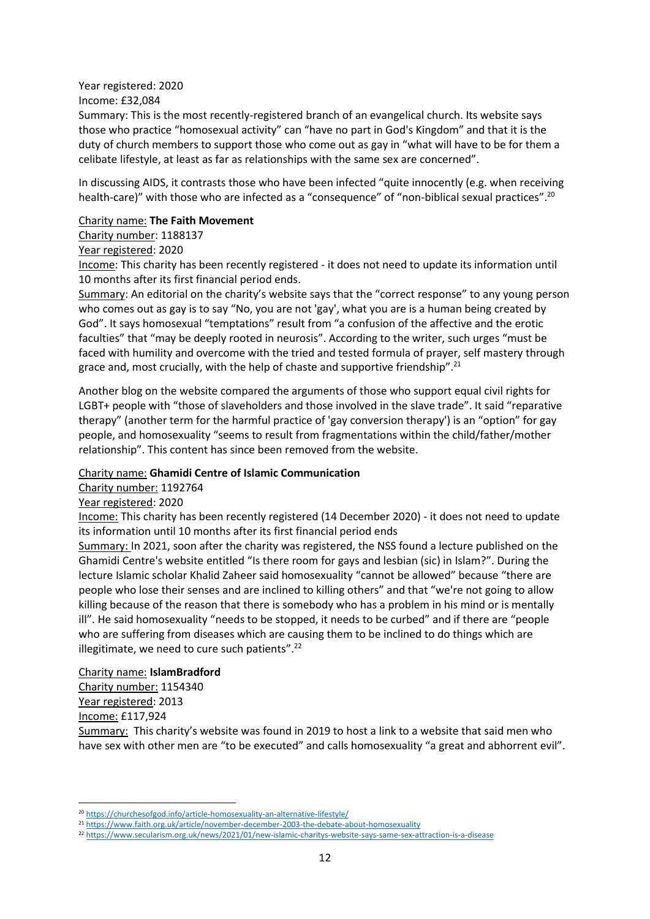Year registered: 2020

Income: £32,084

Summary: This is the most recently-registered branch of an evangelical church. Its website says those who practice "homosexual activity" can "have no part in God's Kingdom" and that it is the duty of church members to support those who come out as gay in "what will have to be for them a celibate lifestyle, at least as far as relationships with the same sex are concerned".

In discussing AIDS, it contrasts those who have been infected "quite innocently (e.g. when receiving health-care)" with those who are infected as a "consequence" of "non-biblical sexual practices".<sup>20</sup>

#### Charity name: **The Faith Movement**

Charity number: 1188137

#### Year registered: 2020

Income: This charity has been recently registered - it does not need to update its information until 10 months after its first financial period ends.

Summary: An editorial on the charity's website says that the "correct response" to any young person who comes out as gay is to say "No, you are not 'gay', what you are is a human being created by God". It says homosexual "temptations" result from "a confusion of the affective and the erotic faculties" that "may be deeply rooted in neurosis". According to the writer, such urges "must be faced with humility and overcome with the tried and tested formula of prayer, self mastery through grace and, most crucially, with the help of chaste and supportive friendship".<sup>21</sup>

Another blog on the website compared the arguments of those who support equal civil rights for LGBT+ people with "those of slaveholders and those involved in the slave trade". It said "reparative therapy" (another term for the harmful practice of 'gay conversion therapy') is an "option" for gay people, and homosexuality "seems to result from fragmentations within the child/father/mother relationship". This content has since been removed from the website.

#### Charity name: **Ghamidi Centre of Islamic Communication**

Charity number: 1192764

Year registered: 2020

Income: This charity has been recently registered (14 December 2020) - it does not need to update its information until 10 months after its first financial period ends

Summary: In 2021, soon after the charity was registered, the NSS found a lecture published on the Ghamidi Centre's website entitled "Is there room for gays and lesbian (sic) in Islam?". During the lecture Islamic scholar Khalid Zaheer said homosexuality "cannot be allowed" because "there are people who lose their senses and are inclined to killing others" and that "we're not going to allow killing because of the reason that there is somebody who has a problem in his mind or is mentally ill". He said homosexuality "needs to be stopped, it needs to be curbed" and if there are "people who are suffering from diseases which are causing them to be inclined to do things which are illegitimate, we need to cure such patients".<sup>22</sup>

#### Charity name: **IslamBradford**

Charity number: 1154340 Year registered: 2013

Income: £117,924

Summary: This charity's website was found in 2019 to host a link to a website that said men who have sex with other men are "to be executed" and calls homosexuality "a great and abhorrent evil".

<sup>20</sup> <https://churchesofgod.info/article-homosexuality-an-alternative-lifestyle/>

<sup>21</sup> <https://www.faith.org.uk/article/november-december-2003-the-debate-about-homosexuality>

<sup>22</sup> <https://www.secularism.org.uk/news/2021/01/new-islamic-charitys-website-says-same-sex-attraction-is-a-disease>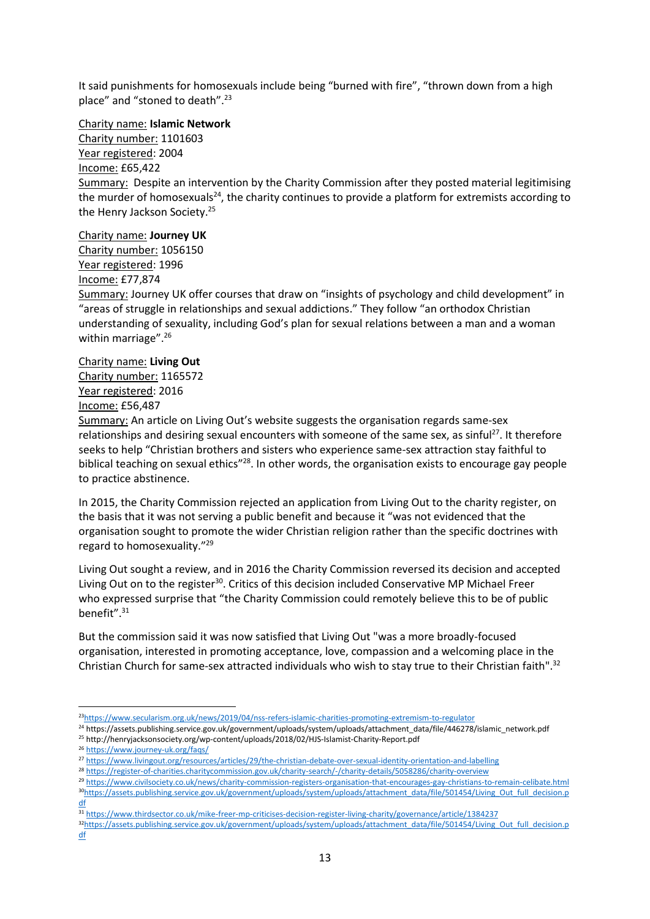It said punishments for homosexuals include being "burned with fire", "thrown down from a high place" and "stoned to death".<sup>23</sup>

#### Charity name: **Islamic Network**

Charity number: 1101603 Year registered: 2004 Income: £65,422 Summary: Despite an intervention by the Charity Commission after they posted material legitimising the murder of homosexuals<sup>24</sup>, the charity continues to provide a platform for extremists according to the Henry Jackson Society.<sup>25</sup>

#### Charity name: **Journey UK**

Charity number: 1056150 Year registered: 1996 Income: £77,874

Summary: Journey UK offer courses that draw on "insights of psychology and child development" in "areas of struggle in relationships and sexual addictions." They follow "an orthodox Christian understanding of sexuality, including God's plan for sexual relations between a man and a woman within marriage".<sup>26</sup>

#### Charity name: **Living Out**

Charity number: 1165572 Year registered: 2016 Income: £56,487

Summary: An article on Living Out's website suggests the organisation regards same-sex relationships and desiring sexual encounters with someone of the same sex, as sinful<sup>27</sup>. It therefore seeks to help "Christian brothers and sisters who experience same-sex attraction stay faithful to biblical teaching on sexual ethics"<sup>28</sup>. In other words, the organisation exists to encourage gay people to practice abstinence.

In 2015, the Charity Commission rejected an application from Living Out to the charity register, on the basis that it was not serving a public benefit and because it "was not evidenced that the organisation sought to promote the wider Christian religion rather than the specific doctrines with regard to homosexuality."<sup>29</sup>

Living Out sought a review, and in 2016 the Charity Commission reversed its decision and accepted Living Out on to the register<sup>30</sup>. Critics of this decision included Conservative MP Michael Freer who [expressed](https://www.thirdsector.co.uk/mike-freer-mp-criticises-decision-register-living-charity/governance/article/1384237) surprise that "the Charity Commission could remotely believe this to be of public benefit". 31

But the commission said it was now satisfied that Living Out "was a more broadly-focused organisation, interested in promoting acceptance, love, compassion and a welcoming place in the Christian Church for same-sex attracted individuals who wish to stay true to their Christian faith".<sup>32</sup>

<sup>23</sup><https://www.secularism.org.uk/news/2019/04/nss-refers-islamic-charities-promoting-extremism-to-regulator>

<sup>24</sup> https://assets.publishing.service.gov.uk/government/uploads/system/uploads/attachment\_data/file/446278/islamic\_network.pdf <sup>25</sup> http://henryjacksonsociety.org/wp-content/uploads/2018/02/HJS-Islamist-Charity-Report.pdf

<sup>26</sup> <https://www.journey-uk.org/faqs/>

<sup>27</sup> <https://www.livingout.org/resources/articles/29/the-christian-debate-over-sexual-identity-orientation-and-labelling>

<sup>28</sup> <https://register-of-charities.charitycommission.gov.uk/charity-search/-/charity-details/5058286/charity-overview>

<sup>29</sup> <https://www.civilsociety.co.uk/news/charity-commission-registers-organisation-that-encourages-gay-christians-to-remain-celibate.html> 30[https://assets.publishing.service.gov.uk/government/uploads/system/uploads/attachment\\_data/file/501454/Living\\_Out\\_full\\_decision.p](https://assets.publishing.service.gov.uk/government/uploads/system/uploads/attachment_data/file/501454/Living_Out_full_decision.pdf) [df](https://assets.publishing.service.gov.uk/government/uploads/system/uploads/attachment_data/file/501454/Living_Out_full_decision.pdf)

<sup>31</sup> <https://www.thirdsector.co.uk/mike-freer-mp-criticises-decision-register-living-charity/governance/article/1384237>

<sup>32</sup>[https://assets.publishing.service.gov.uk/government/uploads/system/uploads/attachment\\_data/file/501454/Living\\_Out\\_full\\_decision.p](https://assets.publishing.service.gov.uk/government/uploads/system/uploads/attachment_data/file/501454/Living_Out_full_decision.pdf) [df](https://assets.publishing.service.gov.uk/government/uploads/system/uploads/attachment_data/file/501454/Living_Out_full_decision.pdf)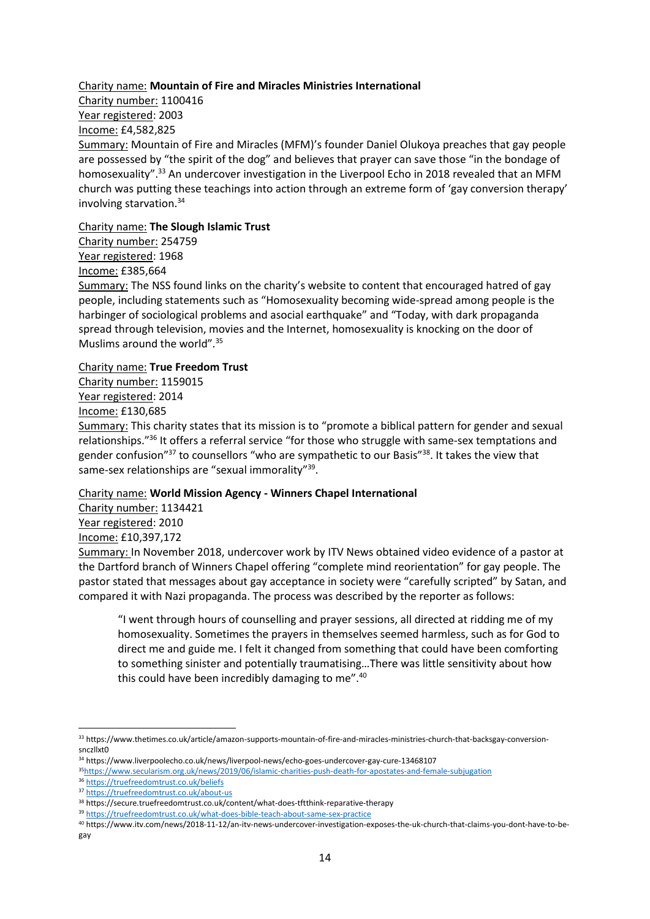Charity name: **Mountain of Fire and Miracles Ministries International**

Charity number: 1100416 Year registered: 2003 Income: £4,582,825

Summary: Mountain of Fire and Miracles (MFM)'s founder Daniel Olukoya preaches that gay people are possessed by "the spirit of the dog" and believes that prayer can save those "in the bondage of homosexuality".<sup>33</sup> An undercover investigation in the Liverpool Echo in 2018 revealed that an MFM church was putting these teachings into action through an extreme form of 'gay conversion therapy' involving starvation. 34

Charity name: **The Slough Islamic Trust** 

Charity number: 254759

Year registered: 1968

Income: £385,664

Summary: The NSS found links on the charity's website to content that encouraged hatred of gay people, including statements such as "Homosexuality becoming wide-spread among people is the harbinger of sociological problems and asocial earthquake" and "Today, with dark propaganda spread through television, movies and the Internet, homosexuality is knocking on the door of Muslims around the world".<sup>35</sup>

#### Charity name: **True Freedom Trust**

Charity number: 1159015 Year registered: 2014

Income: £130,685

Summary: This charity states that its mission is to "promote a biblical pattern for gender and sexual relationships."<sup>36</sup> It offers a referral service "for those who struggle with same-sex temptations and gender confusion"<sup>37</sup> to counsellors "who are sympathetic to our Basis"<sup>38</sup>. It takes the view that same-sex relationships are "sexual immorality"<sup>39</sup>.

## Charity name: **World Mission Agency - Winners Chapel International**

Charity number: 1134421 Year registered: 2010 Income: £10,397,172

Summary: In November 2018, undercover work by ITV News obtained video evidence of a pastor at the Dartford branch of Winners Chapel offering "complete mind reorientation" for gay people. The pastor stated that messages about gay acceptance in society were "carefully scripted" by Satan, and compared it with Nazi propaganda. The process was described by the reporter as follows:

"I went through hours of counselling and prayer sessions, all directed at ridding me of my homosexuality. Sometimes the prayers in themselves seemed harmless, such as for God to direct me and guide me. I felt it changed from something that could have been comforting to something sinister and potentially traumatising…There was little sensitivity about how this could have been incredibly damaging to me".<sup>40</sup>

<sup>33</sup> https://www.thetimes.co.uk/article/amazon-supports-mountain-of-fire-and-miracles-ministries-church-that-backsgay-conversionsnczllxt0

<sup>34</sup> https://www.liverpoolecho.co.uk/news/liverpool-news/echo-goes-undercover-gay-cure-13468107

<sup>35</sup><https://www.secularism.org.uk/news/2019/06/islamic-charities-push-death-for-apostates-and-female-subjugation>

<sup>36</sup> <https://truefreedomtrust.co.uk/beliefs>

<sup>37</sup> <https://truefreedomtrust.co.uk/about-us>

<sup>38</sup> https://secure.truefreedomtrust.co.uk/content/what-does-tftthink-reparative-therapy

<sup>39</sup> <https://truefreedomtrust.co.uk/what-does-bible-teach-about-same-sex-practice>

<sup>40</sup> https://www.itv.com/news/2018-11-12/an-itv-news-undercover-investigation-exposes-the-uk-church-that-claims-you-dont-have-to-begay